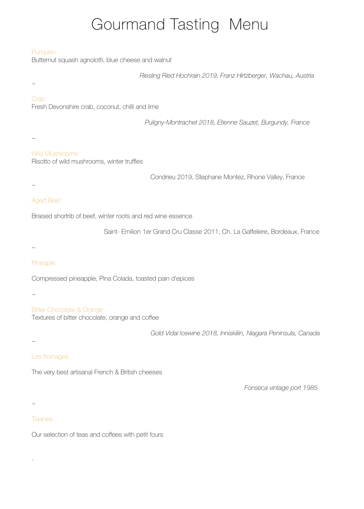# Gourmand Tasting Menu

## Pumpkin

Butternut squash agnolotti, blue cheese and walnut

*Riesling Ried Hochrain 2019, Franz Hirtzberger, Wachau, Austria*

# $\sim$

## **Crab**

Fresh Devonshire crab, coconut, chilli and lime

*Puligny-Montrachet 2018, Etienne Sauzet, Burgundy, France*

#### $\sim$

 $\sim$ 

## Wild Mushrooms

Risotto of wild mushrooms, winter truffles

Condrieu 2019, Stephane Montez, Rhone Valley, France

# Aged Beef

Braised shortrib of beef, winter roots and red wine essence

Saint- Emilion 1er Grand Cru Classe 2011, Ch. La Gaffeliere, Bordeaux, France

#### $\sim$

## Pineaple

Compressed pineapple, Pina Colada, toasted pain d'epices

 $\sim$ 

Bitter Chocolate & Orange Textures of bitter chocolate, orange and coffee

*Gold Vidal lcewine 2018, lnniskiliin, Niagara Peninsula, Canada* 

#### $\sim$

## Les fromages

The very best artisanal French & British cheeses

*Fonseca vintage port 1985*

#### $\sim$

.

## Tisanes

Our selection of teas and coffees with petit fours